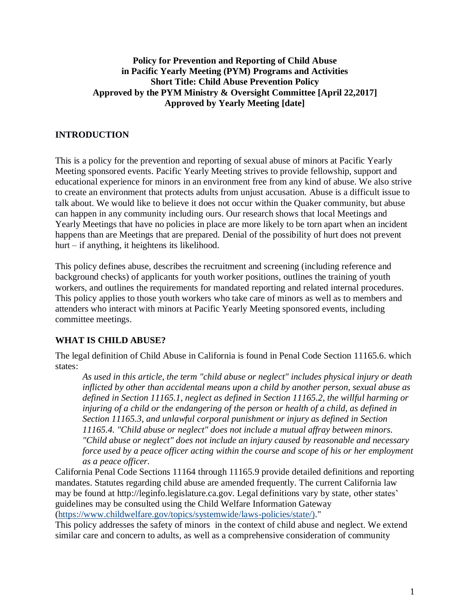## **Policy for Prevention and Reporting of Child Abuse in Pacific Yearly Meeting (PYM) Programs and Activities Short Title: Child Abuse Prevention Policy Approved by the PYM Ministry & Oversight Committee [April 22,2017] Approved by Yearly Meeting [date]**

# **INTRODUCTION**

This is a policy for the prevention and reporting of sexual abuse of minors at Pacific Yearly Meeting sponsored events. Pacific Yearly Meeting strives to provide fellowship, support and educational experience for minors in an environment free from any kind of abuse. We also strive to create an environment that protects adults from unjust accusation. Abuse is a difficult issue to talk about. We would like to believe it does not occur within the Quaker community, but abuse can happen in any community including ours. Our research shows that local Meetings and Yearly Meetings that have no policies in place are more likely to be torn apart when an incident happens than are Meetings that are prepared. Denial of the possibility of hurt does not prevent hurt – if anything, it heightens its likelihood.

This policy defines abuse, describes the recruitment and screening (including reference and background checks) of applicants for youth worker positions, outlines the training of youth workers, and outlines the requirements for mandated reporting and related internal procedures. This policy applies to those youth workers who take care of minors as well as to members and attenders who interact with minors at Pacific Yearly Meeting sponsored events, including committee meetings.

# **WHAT IS CHILD ABUSE?**

The legal definition of Child Abuse in California is found in Penal Code Section 11165.6. which states:

*As used in this article, the term "child abuse or neglect" includes physical injury or death inflicted by other than accidental means upon a child by another person, sexual abuse as defined in Section 11165.1, neglect as defined in Section 11165.2, the willful harming or injuring of a child or the endangering of the person or health of a child, as defined in Section 11165.3, and unlawful corporal punishment or injury as defined in Section 11165.4. "Child abuse or neglect" does not include a mutual affray between minors. "Child abuse or neglect" does not include an injury caused by reasonable and necessary force used by a peace officer acting within the course and scope of his or her employment as a peace officer.*

California Penal Code Sections 11164 through 11165.9 provide detailed definitions and reporting mandates. Statutes regarding child abuse are amended frequently. The current California law may be found at http://leginfo.legislature.ca.gov. Legal definitions vary by state, other states' guidelines may be consulted using the Child Welfare Information Gateway [\(https://www.childwelfare.gov/topics/systemwide/laws-policies/state/\).](https://www.childwelfare.gov/topics/systemwide/laws-policies/state/))"

This policy addresses the safety of minors in the context of child abuse and neglect. We extend similar care and concern to adults, as well as a comprehensive consideration of community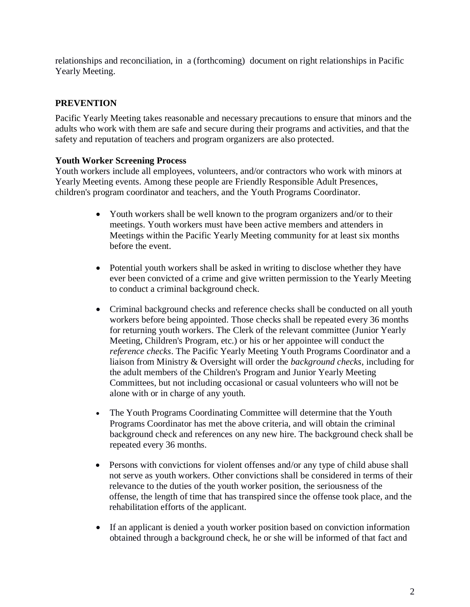relationships and reconciliation, in a (forthcoming) document on right relationships in Pacific Yearly Meeting.

## **PREVENTION**

Pacific Yearly Meeting takes reasonable and necessary precautions to ensure that minors and the adults who work with them are safe and secure during their programs and activities, and that the safety and reputation of teachers and program organizers are also protected.

## **Youth Worker Screening Process**

Youth workers include all employees, volunteers, and/or contractors who work with minors at Yearly Meeting events. Among these people are Friendly Responsible Adult Presences, children's program coordinator and teachers, and the Youth Programs Coordinator.

- Youth workers shall be well known to the program organizers and/or to their meetings. Youth workers must have been active members and attenders in Meetings within the Pacific Yearly Meeting community for at least six months before the event.
- Potential youth workers shall be asked in writing to disclose whether they have ever been convicted of a crime and give written permission to the Yearly Meeting to conduct a criminal background check.
- Criminal background checks and reference checks shall be conducted on all youth workers before being appointed. Those checks shall be repeated every 36 months for returning youth workers. The Clerk of the relevant committee (Junior Yearly Meeting, Children's Program, etc.) or his or her appointee will conduct the *reference checks*. The Pacific Yearly Meeting Youth Programs Coordinator and a liaison from Ministry & Oversight will order the *background checks*, including for the adult members of the Children's Program and Junior Yearly Meeting Committees, but not including occasional or casual volunteers who will not be alone with or in charge of any youth.
- The Youth Programs Coordinating Committee will determine that the Youth Programs Coordinator has met the above criteria, and will obtain the criminal background check and references on any new hire. The background check shall be repeated every 36 months.
- Persons with convictions for violent offenses and/or any type of child abuse shall not serve as youth workers. Other convictions shall be considered in terms of their relevance to the duties of the youth worker position, the seriousness of the offense, the length of time that has transpired since the offense took place, and the rehabilitation efforts of the applicant.
- If an applicant is denied a youth worker position based on conviction information obtained through a background check, he or she will be informed of that fact and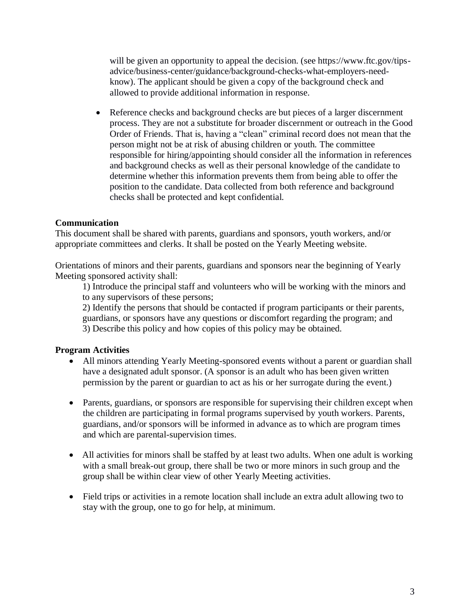will be given an opportunity to appeal the decision. (see https://www.ftc.gov/tipsadvice/business-center/guidance/background-checks-what-employers-needknow). The applicant should be given a copy of the background check and allowed to provide additional information in response.

• Reference checks and background checks are but pieces of a larger discernment process. They are not a substitute for broader discernment or outreach in the Good Order of Friends. That is, having a "clean" criminal record does not mean that the person might not be at risk of abusing children or youth. The committee responsible for hiring/appointing should consider all the information in references and background checks as well as their personal knowledge of the candidate to determine whether this information prevents them from being able to offer the position to the candidate. Data collected from both reference and background checks shall be protected and kept confidential.

## **Communication**

This document shall be shared with parents, guardians and sponsors, youth workers, and/or appropriate committees and clerks. It shall be posted on the Yearly Meeting website.

Orientations of minors and their parents, guardians and sponsors near the beginning of Yearly Meeting sponsored activity shall:

1) Introduce the principal staff and volunteers who will be working with the minors and to any supervisors of these persons;

2) Identify the persons that should be contacted if program participants or their parents, guardians, or sponsors have any questions or discomfort regarding the program; and 3) Describe this policy and how copies of this policy may be obtained.

# **Program Activities**

- All minors attending Yearly Meeting-sponsored events without a parent or guardian shall have a designated adult sponsor. (A sponsor is an adult who has been given written permission by the parent or guardian to act as his or her surrogate during the event.)
- Parents, guardians, or sponsors are responsible for supervising their children except when the children are participating in formal programs supervised by youth workers. Parents, guardians, and/or sponsors will be informed in advance as to which are program times and which are parental-supervision times.
- All activities for minors shall be staffed by at least two adults. When one adult is working with a small break-out group, there shall be two or more minors in such group and the group shall be within clear view of other Yearly Meeting activities.
- Field trips or activities in a remote location shall include an extra adult allowing two to stay with the group, one to go for help, at minimum.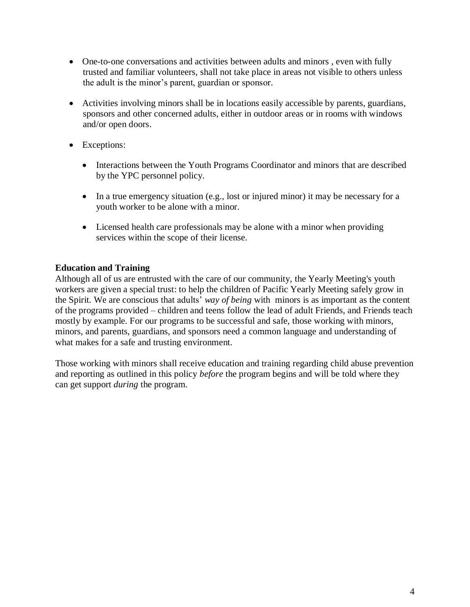- One-to-one conversations and activities between adults and minors, even with fully trusted and familiar volunteers, shall not take place in areas not visible to others unless the adult is the minor's parent, guardian or sponsor.
- Activities involving minors shall be in locations easily accessible by parents, guardians, sponsors and other concerned adults, either in outdoor areas or in rooms with windows and/or open doors.
- Exceptions:
	- Interactions between the Youth Programs Coordinator and minors that are described by the YPC personnel policy.
	- In a true emergency situation (e.g., lost or injured minor) it may be necessary for a youth worker to be alone with a minor.
	- Licensed health care professionals may be alone with a minor when providing services within the scope of their license.

# **Education and Training**

Although all of us are entrusted with the care of our community, the Yearly Meeting's youth workers are given a special trust: to help the children of Pacific Yearly Meeting safely grow in the Spirit. We are conscious that adults' *way of being* with minors is as important as the content of the programs provided – children and teens follow the lead of adult Friends, and Friends teach mostly by example. For our programs to be successful and safe, those working with minors, minors, and parents, guardians, and sponsors need a common language and understanding of what makes for a safe and trusting environment.

Those working with minors shall receive education and training regarding child abuse prevention and reporting as outlined in this policy *before* the program begins and will be told where they can get support *during* the program.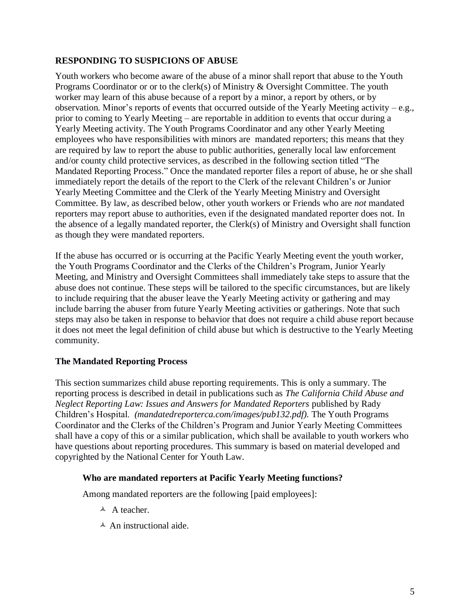## **RESPONDING TO SUSPICIONS OF ABUSE**

Youth workers who become aware of the abuse of a minor shall report that abuse to the Youth Programs Coordinator or or to the clerk(s) of Ministry & Oversight Committee. The youth worker may learn of this abuse because of a report by a minor, a report by others, or by observation. Minor's reports of events that occurred outside of the Yearly Meeting activity – e.g., prior to coming to Yearly Meeting – are reportable in addition to events that occur during a Yearly Meeting activity. The Youth Programs Coordinator and any other Yearly Meeting employees who have responsibilities with minors are mandated reporters; this means that they are required by law to report the abuse to public authorities, generally local law enforcement and/or county child protective services, as described in the following section titled "The Mandated Reporting Process." Once the mandated reporter files a report of abuse, he or she shall immediately report the details of the report to the Clerk of the relevant Children's or Junior Yearly Meeting Committee and the Clerk of the Yearly Meeting Ministry and Oversight Committee. By law, as described below, other youth workers or Friends who are *not* mandated reporters may report abuse to authorities, even if the designated mandated reporter does not. In the absence of a legally mandated reporter, the Clerk(s) of Ministry and Oversight shall function as though they were mandated reporters.

If the abuse has occurred or is occurring at the Pacific Yearly Meeting event the youth worker, the Youth Programs Coordinator and the Clerks of the Children's Program, Junior Yearly Meeting, and Ministry and Oversight Committees shall immediately take steps to assure that the abuse does not continue. These steps will be tailored to the specific circumstances, but are likely to include requiring that the abuser leave the Yearly Meeting activity or gathering and may include barring the abuser from future Yearly Meeting activities or gatherings. Note that such steps may also be taken in response to behavior that does not require a child abuse report because it does not meet the legal definition of child abuse but which is destructive to the Yearly Meeting community.

## **The Mandated Reporting Process**

This section summarizes child abuse reporting requirements. This is only a summary. The reporting process is described in detail in publications such as *The California Child Abuse and Neglect Reporting Law: Issues and Answers for Mandated Reporters* published by Rady Children's Hospital. *(mandatedreporterca.com/images/pub132.pdf).* The Youth Programs Coordinator and the Clerks of the Children's Program and Junior Yearly Meeting Committees shall have a copy of this or a similar publication, which shall be available to youth workers who have questions about reporting procedures. This summary is based on material developed and copyrighted by the National Center for Youth Law.

## **Who are mandated reporters at Pacific Yearly Meeting functions?**

Among mandated reporters are the following [paid employees]:

- $\triangle$  A teacher.
- $\triangle$  An instructional aide.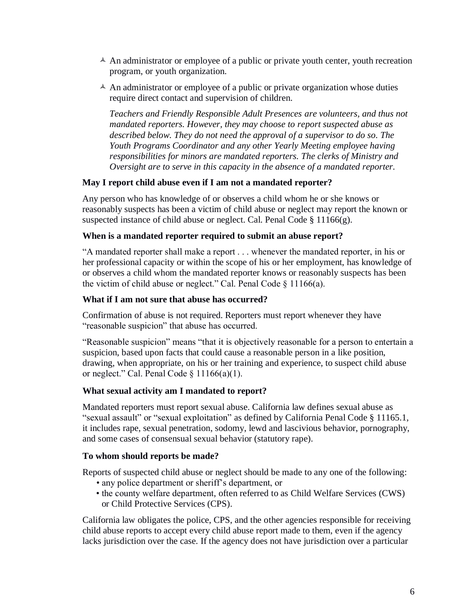- $\triangle$  An administrator or employee of a public or private youth center, youth recreation program, or youth organization.
- $\triangle$  An administrator or employee of a public or private organization whose duties require direct contact and supervision of children.

*Teachers and Friendly Responsible Adult Presences are volunteers, and thus not mandated reporters. However, they may choose to report suspected abuse as described below. They do not need the approval of a supervisor to do so. The Youth Programs Coordinator and any other Yearly Meeting employee having responsibilities for minors are mandated reporters. The clerks of Ministry and Oversight are to serve in this capacity in the absence of a mandated reporter.*

#### **May I report child abuse even if I am not a mandated reporter?**

Any person who has knowledge of or observes a child whom he or she knows or reasonably suspects has been a victim of child abuse or neglect may report the known or suspected instance of child abuse or neglect. Cal. Penal Code  $\S$  11166(g).

#### **When is a mandated reporter required to submit an abuse report?**

"A mandated reporter shall make a report . . . whenever the mandated reporter, in his or her professional capacity or within the scope of his or her employment, has knowledge of or observes a child whom the mandated reporter knows or reasonably suspects has been the victim of child abuse or neglect." Cal. Penal Code § 11166(a).

#### **What if I am not sure that abuse has occurred?**

Confirmation of abuse is not required. Reporters must report whenever they have "reasonable suspicion" that abuse has occurred.

"Reasonable suspicion" means "that it is objectively reasonable for a person to entertain a suspicion, based upon facts that could cause a reasonable person in a like position, drawing, when appropriate, on his or her training and experience, to suspect child abuse or neglect." Cal. Penal Code  $\S 11166(a)(1)$ .

#### **What sexual activity am I mandated to report?**

Mandated reporters must report sexual abuse. California law defines sexual abuse as "sexual assault" or "sexual exploitation" as defined by California Penal Code § 11165.1, it includes rape, sexual penetration, sodomy, lewd and lascivious behavior, pornography, and some cases of consensual sexual behavior (statutory rape).

#### **To whom should reports be made?**

Reports of suspected child abuse or neglect should be made to any one of the following:

- any police department or sheriff's department, or
- the county welfare department, often referred to as Child Welfare Services (CWS) or Child Protective Services (CPS).

California law obligates the police, CPS, and the other agencies responsible for receiving child abuse reports to accept every child abuse report made to them, even if the agency lacks jurisdiction over the case. If the agency does not have jurisdiction over a particular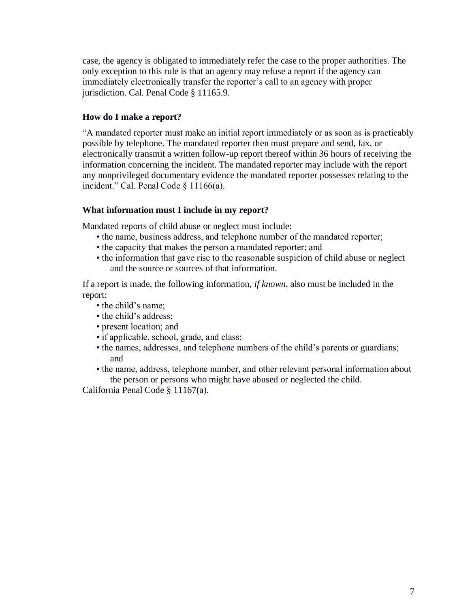case, the agency is obligated to immediately refer the case to the proper authorities. The only exception to this rule is that an agency may refuse a report if the agency can immediately electronically transfer the reporter's call to an agency with proper jurisdiction. Cal. Penal Code § 11165.9.

### **How do I make a report?**

"A mandated reporter must make an initial report immediately or as soon as is practicably possible by telephone. The mandated reporter then must prepare and send, fax, or electronically transmit a written follow-up report thereof within 36 hours of receiving the information concerning the incident. The mandated reporter may include with the report any nonprivileged documentary evidence the mandated reporter possesses relating to the incident." Cal. Penal Code § 11166(a).

#### **What information must I include in my report?**

Mandated reports of child abuse or neglect must include:

- the name, business address, and telephone number of the mandated reporter;
- the capacity that makes the person a mandated reporter; and
- the information that gave rise to the reasonable suspicion of child abuse or neglect and the source or sources of that information.

If a report is made, the following information, *if known*, also must be included in the report:

- the child's name;
- the child's address;
- present location; and
- if applicable, school, grade, and class;
- the names, addresses, and telephone numbers of the child's parents or guardians; and
- the name, address, telephone number, and other relevant personal information about the person or persons who might have abused or neglected the child.

California Penal Code § 11167(a).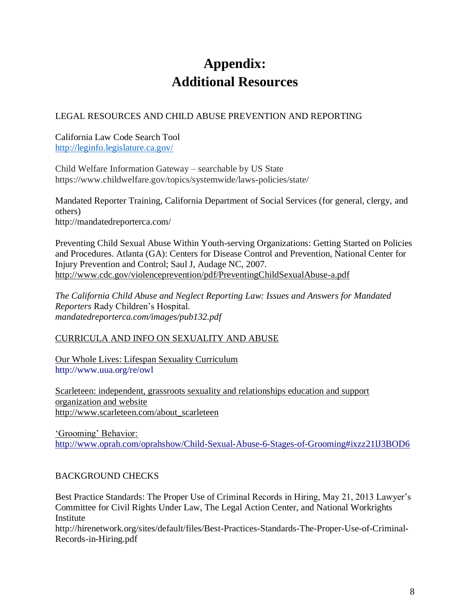# **Appendix: Additional Resources**

# LEGAL RESOURCES AND CHILD ABUSE PREVENTION AND REPORTING

California Law Code Search Tool <http://leginfo.legislature.ca.gov/>

Child Welfare Information Gateway – searchable by US State https://www.childwelfare.gov/topics/systemwide/laws-policies/state/

Mandated Reporter Training, California Department of Social Services (for general, clergy, and others) http://mandatedreporterca.com/

Preventing Child Sexual Abuse Within Youth-serving Organizations: Getting Started on Policies and Procedures. Atlanta (GA): Centers for Disease Control and Prevention, National Center for Injury Prevention and Control; Saul J, Audage NC, 2007. <http://www.cdc.gov/violenceprevention/pdf/PreventingChildSexualAbuse-a.pdf>

*The California Child Abuse and Neglect Reporting Law: Issues and Answers for Mandated Reporters* Rady Children's Hospital. *mandatedreporterca.com/images/pub132.pdf*

# CURRICULA AND INFO ON SEXUALITY AND ABUSE

Our Whole Lives: Lifespan Sexuality Curriculum <http://www.uua.org/re/owl>

Scarleteen: independent, grassroots sexuality and relationships education and support organization and website http://www.scarleteen.com/about\_scarleteen

'Grooming' Behavior: <http://www.oprah.com/oprahshow/Child-Sexual-Abuse-6-Stages-of-Grooming#ixzz21lJ3BOD6>

# BACKGROUND CHECKS

Best Practice Standards: The Proper Use of Criminal Records in Hiring, May 21, 2013 Lawyer's Committee for Civil Rights Under Law, The Legal Action Center, and National Workrights Institute

http://hirenetwork.org/sites/default/files/Best-Practices-Standards-The-Proper-Use-of-Criminal-Records-in-Hiring.pdf